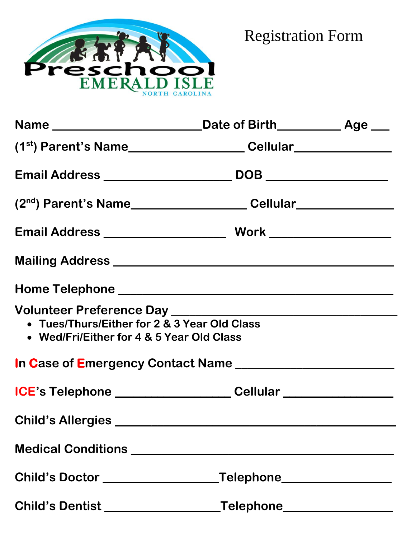

Registration Form

| • Tues/Thurs/Either for 2 & 3 Year Old Class<br>• Wed/Fri/Either for 4 & 5 Year Old Class |                                                                                                                                             |  |
|-------------------------------------------------------------------------------------------|---------------------------------------------------------------------------------------------------------------------------------------------|--|
| In Case of Emergency Contact Name                                                         |                                                                                                                                             |  |
|                                                                                           |                                                                                                                                             |  |
|                                                                                           |                                                                                                                                             |  |
|                                                                                           |                                                                                                                                             |  |
| Child's Doctor ________________                                                           | _Telephone_______________                                                                                                                   |  |
| Child's Dentist _________________                                                         | $\begin{tabular}{c} \bf Telephone \hspace{1cm} \hspace{1cm} \hspace{1cm} \hspace{1cm} \hspace{1cm} \hspace{1cm} \hspace{1cm} \end{tabular}$ |  |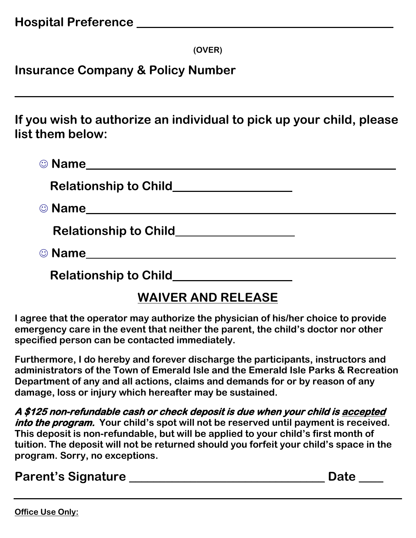**(OVER)**

**Insurance Company & Policy Number** 

**If you wish to authorize an individual to pick up your child, please list them below:**

**\_\_\_\_\_\_\_\_\_\_\_\_\_\_\_\_\_\_\_\_\_\_\_\_\_\_\_\_\_\_\_\_\_\_\_\_\_\_\_\_\_\_\_\_\_\_\_\_\_\_\_\_\_\_\_\_\_\_\_\_\_\_**

| © Name                                             |
|----------------------------------------------------|
| Relationship to Child_________________             |
|                                                    |
| <b>Relationship to Child</b> Relationship to Child |
| © Name_____________________________                |
| <b>Relationship to Child</b>                       |

## **WAIVER AND RELEASE**

**I agree that the operator may authorize the physician of his/her choice to provide emergency care in the event that neither the parent, the child's doctor nor other specified person can be contacted immediately.**

**Furthermore, I do hereby and forever discharge the participants, instructors and administrators of the Town of Emerald Isle and the Emerald Isle Parks & Recreation Department of any and all actions, claims and demands for or by reason of any damage, loss or injury which hereafter may be sustained.**

**A \$125 non-refundable cash or check deposit is due when your child is accepted into the program. Your child's spot will not be reserved until payment is received. This deposit is non-refundable, but will be applied to your child's first month of tuition. The deposit will not be returned should you forfeit your child's space in the program. Sorry, no exceptions.** 

**Parent's Signature \_\_\_\_\_\_\_\_\_\_\_\_\_\_\_\_\_\_\_\_\_\_\_\_\_\_\_\_\_\_\_\_ Date \_\_\_\_**

**Office Use Only:**